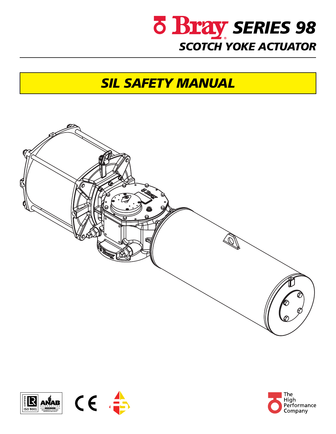

# *SIL SAFETY MANUAL*





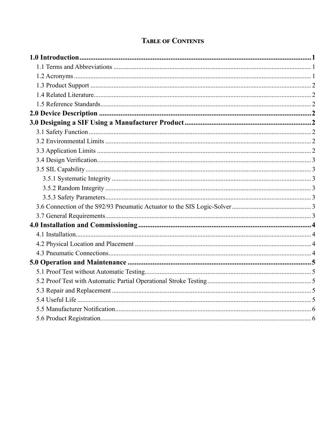# **TABLE OF CONTENTS**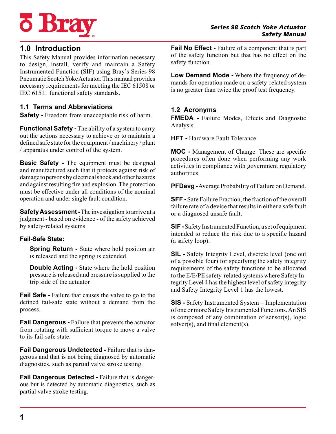



# **1.0 Introduction**

This Safety Manual provides information necessary to design, install, verify and maintain a Safety Instrumented Function (SIF) using Bray's Series 98 Pneumatic Scotch Yoke Actuator. This manual provides necessary requirements for meeting the IEC 61508 or IEC 61511 functional safety standards.

## **1.1 Terms and Abbreviations**

**Safety** - Freedom from unacceptable risk of harm.

**Functional Safety -** The ability of a system to carry out the actions necessary to achieve or to maintain a defined safe state for the equipment / machinery / plant / apparatus under control of the system.

**Basic Safety -** The equipment must be designed and manufactured such that it protects against risk of damage to persons by electrical shock and other hazards and against resulting fire and explosion. The protection must be effective under all conditions of the nominal operation and under single fault condition.

**Safety Assessment -** The investigation to arrive at a judgment - based on evidence - of the safety achieved by safety-related systems.

## **Fail-Safe State:**

**Spring Return -** State where hold position air is released and the spring is extended

**Double Acting -** State where the hold position pressure is released and pressure is supplied to the trip side of the actuator

**Fail Safe -** Failure that causes the valve to go to the defined fail-safe state without a demand from the process.

**Fail Dangerous -** Failure that prevents the actuator from rotating with sufficient torque to move a valve to its fail-safe state.

**Fail Dangerous Undetected -** Failure that is dangerous and that is not being diagnosed by automatic diagnostics, such as partial valve stroke testing.

**Fail Dangerous Detected -** Failure that is dangerous but is detected by automatic diagnostics, such as partial valve stroke testing.

**Fail No Effect -** Failure of a component that is part of the safety function but that has no effect on the safety function.

**Low Demand Mode -** Where the frequency of demands for operation made on a safety-related system is no greater than twice the proof test frequency.

# **1.2 Acronyms**

**FMEDA -** Failure Modes, Effects and Diagnostic Analysis.

**HFT -** Hardware Fault Tolerance.

**MOC -** Management of Change. These are specific procedures often done when performing any work activities in compliance with government regulatory authorities.

**PFDavg -** Average Probability of Failure on Demand.

**SFF -** Safe Failure Fraction, the fraction of the overall failure rate of a device that results in either a safe fault or a diagnosed unsafe fault.

**SIF -** Safety Instrumented Function, a set of equipment intended to reduce the risk due to a specific hazard (a safety loop).

**SIL -** Safety Integrity Level, discrete level (one out of a possible four) for specifying the safety integrity requirements of the safety functions to be allocated to the E/E/PE safety-related systems where Safety Integrity Level 4 has the highest level of safety integrity and Safety Integrity Level 1 has the lowest.

**SIS -** Safety Instrumented System – Implementation of one or more Safety Instrumented Functions. An SIS is composed of any combination of sensor(s), logic solver(s), and final element(s).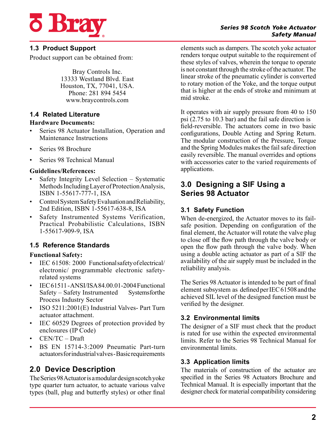

#### *Series 98 Scotch Yoke Actuator Safety Manual*

# **1.3 Product Support**

Product support can be obtained from:

Bray Controls Inc. 13333 Westland Blvd. East Houston, TX, 77041, USA. Phone: 281 894 5454 www.braycontrols.com

## **1.4 Related Literature**

#### **Hardware Documents:**

- Series 98 Actuator Installation, Operation and Maintenance Instructions
- Series 98 Brochure
- Series 98 Technical Manual

#### **Guidelines/References:**

- Safety Integrity Level Selection Systematic Methods Including Layer of Protection Analysis, ISBN 1-55617-777-1, ISA
- Control System Safety Evaluation and Reliability, 2nd Edition, ISBN 1-55617-638-8, ISA
- Safety Instrumented Systems Verification, Practical Probabilistic Calculations, ISBN 1-55617-909-9, ISA

# **1.5 Reference Standards**

## **Functional Safety:**

- IEC 61508: 2000 Functional safety of electrical/ electronic/ programmable electronic safetyrelated systems
- IEC 61511 ANSI/ISA 84.00.01-2004 Functional Safety – Safety Instrumented Systems for the Process Industry Sector
- ISO 5211:2001(E) Industrial Valves- Part Turn actuator attachment.
- IEC 60529 Degrees of protection provided by enclosures (IP Code)
- CEN/TC Draft
- BS EN 15714-3:2009 Pneumatic Part-turn actuators for industrial valves - Basic requirements

# **2.0 Device Description**

The Series 98 Actuator is a modular design scotch yoke type quarter turn actuator, to actuate various valve types (ball, plug and butterfly styles) or other final elements such as dampers. The scotch yoke actuator renders torque output suitable to the requirement of these styles of valves, wherein the torque to operate is not constant through the stroke of the actuator. The linear stroke of the pneumatic cylinder is converted to rotary motion of the Yoke, and the torque output that is higher at the ends of stroke and minimum at mid stroke.

It operates with air supply pressure from 40 to 150 psi (2.75 to 10.3 bar) and the fail safe direction is field-reversible. The actuators come in two basic configurations, Double Acting and Spring Return. The modular construction of the Pressure, Torque and the Spring Modules makes the fail safe direction easily reversible. The manual overrides and options with accessories cater to the varied requirements of applications.

# **3.0 Designing a SIF Using a Series 98 Actuator**

# **3.1 Safety Function**

When de-energized, the Actuator moves to its failsafe position. Depending on configuration of the final element, the Actuator will rotate the valve plug to close off the flow path through the valve body or open the flow path through the valve body. When using a double acting actuator as part of a SIF the availability of the air supply must be included in the reliability analysis.

The Series 98 Actuator is intended to be part of final element subsystem as defined per IEC 61508 and the achieved SIL level of the designed function must be verified by the designer.

# **3.2 Environmental limits**

The designer of a SIF must check that the product is rated for use within the expected environmental limits. Refer to the Series 98 Technical Manual for environmental limits.

# **3.3 Application limits**

The materials of construction of the actuator are specified in the Series 98 Actuators Brochure and Technical Manual. It is especially important that the designer check for material compatibility considering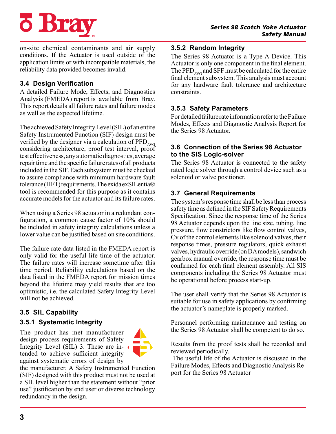

on-site chemical contaminants and air supply conditions. If the Actuator is used outside of the application limits or with incompatible materials, the reliability data provided becomes invalid.

# **3.4 Design Verification**

A detailed Failure Mode, Effects, and Diagnostics Analysis (FMEDA) report is available from Bray. This report details all failure rates and failure modes as well as the expected lifetime.

The achieved Safety Integrity Level (SIL) of an entire Safety Instrumented Function (SIF) design must be verified by the designer via a calculation of  $\mathrm{PFD}_{\mathrm{AVG}}$ considering architecture, proof test interval, proof test effectiveness, any automatic diagnostics, average repair time and the specific failure rates of all products included in the SIF. Each subsystem must be checked to assure compliance with minimum hardware fault tolerance (HFT) requirements. The exida exSILentia® tool is recommended for this purpose as it contains accurate models for the actuator and its failure rates.

When using a Series 98 actuator in a redundant configuration, a common cause factor of 10% should be included in safety integrity calculations unless a lower value can be justified based on site conditions.

The failure rate data listed in the FMEDA report is only valid for the useful life time of the actuator. The failure rates will increase sometime after this time period. Reliability calculations based on the data listed in the FMEDA report for mission times beyond the lifetime may yield results that are too optimistic, i.e. the calculated Safety Integrity Level will not be achieved.

# **3.5 SIL Capability**

# **3.5.1 Systematic Integrity**

The product has met manufacturer design process requirements of Safety Integrity Level (SIL) 3. These are intended to achieve sufficient integrity against systematic errors of design by



the manufacturer. A Safety Instrumented Function (SIF) designed with this product must not be used at a SIL level higher than the statement without "prior use" justification by end user or diverse technology redundancy in the design.

## **3.5.2 Random Integrity**

The Series 98 Actuator is a Type A Device. This Actuator is only one component in the final element. The PFD<sub>AVG</sub> and SFF must be calculated for the entire final element subsystem. This analysis must account for any hardware fault tolerance and architecture constraints.

## **3.5.3 Safety Parameters**

For detailed failure rate information refer to the Failure Modes, Effects and Diagnostic Analysis Report for the Series 98 Actuator.

## **3.6 Connection of the Series 98 Actuator to the SIS Logic-solver**

The Series 98 Actuator is connected to the safety rated logic solver through a control device such as a solenoid or valve positioner.

# **3.7 General Requirements**

The system's response time shall be less than process safety time as defined in the SIF Safety Requirements Specification. Since the response time of the Series 98 Actuator depends upon the line size, tubing, line pressure, flow constrictors like flow control valves, Cv of the control elements like solenoid valves, their response times, pressure regulators, quick exhaust valves, hydraulic override (on DA models), sandwich gearbox manual override, the response time must be confirmed for each final element assembly. All SIS components including the Series 98 Actuator must be operational before process start-up.

The user shall verify that the Series 98 Actuator is suitable for use in safety applications by confirming the actuator's nameplate is properly marked.

Personnel performing maintenance and testing on the Series 98 Actuator shall be competent to do so.

Results from the proof tests shall be recorded and reviewed periodically.

 The useful life of the Actuator is discussed in the Failure Modes, Effects and Diagnostic Analysis Report for the Series 98 Actuator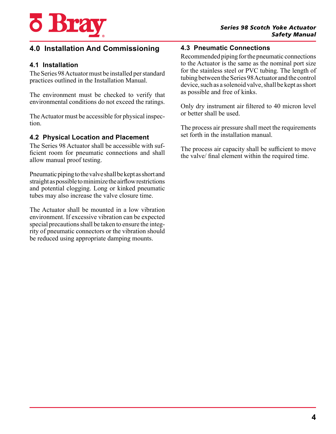

# **4.0 Installation And Commissioning**

## **4.1 Installation**

The Series 98 Actuator must be installed per standard practices outlined in the Installation Manual.

The environment must be checked to verify that environmental conditions do not exceed the ratings.

The Actuator must be accessible for physical inspection.

#### **4.2 Physical Location and Placement**

The Series 98 Actuator shall be accessible with sufficient room for pneumatic connections and shall allow manual proof testing.

Pneumatic piping to the valve shall be kept as short and straight as possible to minimize the airflow restrictions and potential clogging. Long or kinked pneumatic tubes may also increase the valve closure time.

The Actuator shall be mounted in a low vibration environment. If excessive vibration can be expected special precautions shall be taken to ensure the integrity of pneumatic connectors or the vibration should be reduced using appropriate damping mounts.

#### **4.3 Pneumatic Connections**

Recommended piping for the pneumatic connections to the Actuator is the same as the nominal port size for the stainless steel or PVC tubing. The length of tubing between the Series 98 Actuator and the control device, such as a solenoid valve, shall be kept as short as possible and free of kinks.

Only dry instrument air filtered to 40 micron level or better shall be used.

The process air pressure shall meet the requirements set forth in the installation manual.

The process air capacity shall be sufficient to move the valve/ final element within the required time.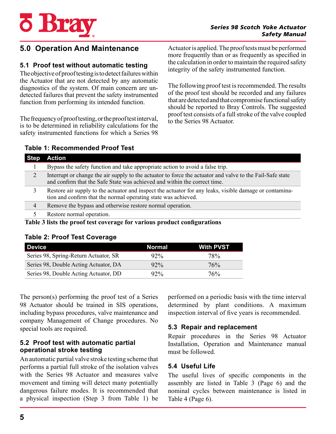

to the Fail-Safe state

# **5.0 Operation And Maintenance**

## **5.1 Proof test without automatic testing**

The objective of proof testing is to detect failures within the Actuator that are not detected by any automatic diagnostics of the system. Of main concern are undetected failures that prevent the safety instrumented function from performing its intended function.

The frequency of proof testing, or the proof test interval, is to be determined in reliability calculations for the safety instrumented functions for which a Series 98

**Table 1: Recommended Proof Test**

Actuator is applied. The proof tests must be performed more frequently than or as frequently as specified in the calculation in order to maintain the required safety integrity of the safety instrumented function.

The following proof test is recommended. The results of the proof test should be recorded and any failures that are detected and that compromise functional safety should be reported to Bray Controls. The suggested proof test consists of a full stroke of the valve coupled to the Series 98 Actuator.

| <b>Step Action</b>                                                                                                                                              |
|-----------------------------------------------------------------------------------------------------------------------------------------------------------------|
| Bypass the safety function and take appropriate action to avoid a false trip.                                                                                   |
| Interrupt or change the air supply to the actuator to force the actuator and valve<br>and confirm that the Safe State was achieved and within the correct time. |

3 Restore air supply to the actuator and inspect the actuator for any leaks, visible damage or contamination and confirm that the normal operating state was achieved.

4 Remove the bypass and otherwise restore normal operation.

5 Restore normal operation.

**Table 3 lists the proof test coverage for various product configurations**

|  |  |  |  | <b>Table 2: Proof Test Coverage</b> |  |
|--|--|--|--|-------------------------------------|--|
|--|--|--|--|-------------------------------------|--|

| <b>Device</b>                         | <b>Normal</b> | <b>With PVST</b> |
|---------------------------------------|---------------|------------------|
| Series 98, Spring-Return Actuator, SR | $92\%$        | 78%              |
| Series 98, Double Acting Actuator, DA | $92\%$        | 76%              |
| Series 98, Double Acting Actuator, DD | $92\%$        | 76%              |

The person(s) performing the proof test of a Series 98 Actuator should be trained in SIS operations, including bypass procedures, valve maintenance and company Management of Change procedures. No special tools are required.

## **5.2 Proof test with automatic partial operational stroke testing**

An automatic partial valve stroke testing scheme that performs a partial full stroke of the isolation valves with the Series 98 Actuator and measures valve movement and timing will detect many potentially dangerous failure modes. It is recommended that a physical inspection (Step 3 from Table 1) be

performed on a periodic basis with the time interval determined by plant conditions. A maximum inspection interval of five years is recommended.

# **5.3 Repair and replacement**

Repair procedures in the Series 98 Actuator Installation, Operation and Maintenance manual must be followed.

# **5.4 Useful Life**

The useful lives of specific components in the assembly are listed in Table 3 (Page 6) and the nominal cycles between maintenance is listed in Table 4 (Page 6).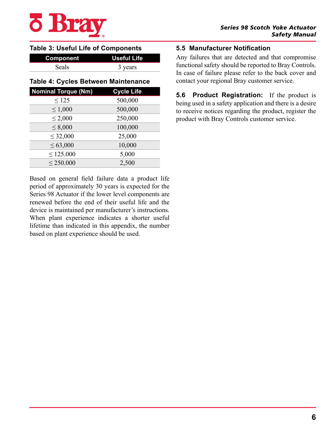

#### **Table 3: Useful Life of Components**

| Component    | <b>Useful Life</b> |
|--------------|--------------------|
| <b>Seals</b> | 3 years            |

## **Table 4: Cycles Between Maintenance**

| <b>Nominal Torque (Nm)</b> | <b>Cycle Life</b> |
|----------------------------|-------------------|
| $\leq 125$                 | 500,000           |
| $\leq 1,000$               | 500,000           |
| $\leq 2,000$               | 250,000           |
| $\leq 8,000$               | 100,000           |
| $\leq 32,000$              | 25,000            |
| $\leq 63,000$              | 10,000            |
| < 125.000                  | 5,000             |
| $\leq$ 250.000             | 2,500             |

Based on general field failure data a product life period of approximately 30 years is expected for the Series 98 Actuator if the lower level components are renewed before the end of their useful life and the device is maintained per manufacturer's instructions. When plant experience indicates a shorter useful lifetime than indicated in this appendix, the number based on plant experience should be used.

## **5.5 Manufacturer Notification**

Any failures that are detected and that compromise functional safety should be reported to Bray Controls. In case of failure please refer to the back cover and contact your regional Bray customer service.

**5.6 Product Registration:** If the product is being used in a safety application and there is a desire to receive notices regarding the product, register the product with Bray Controls customer service.